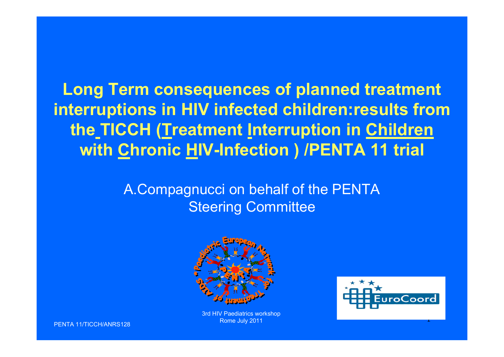**Long Term consequences of planned treatment interruptions in HIV infected children:results from the TICCH (Treatment Interruption in Children with Chronic HIV-Infection ) /PENTA 11 trial**

> A.Compagnucci on behalf of the PENTA Steering Committee



3rd HIV Paediatrics workshop Rome July 2011



PENTA 11/TICCH/ANRS128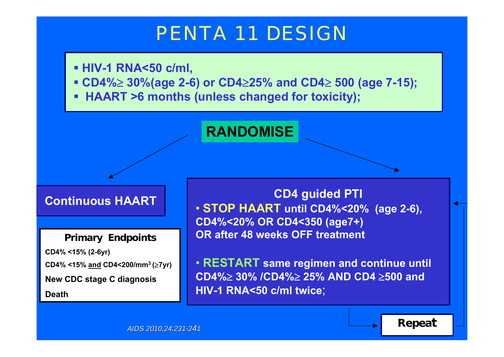# PENTA 11 DESIGN

- **HIV-1 RNA<50 c/ml,**
- **CD4% 30%(age 2-6) or CD4 25% and CD4 500 (age 7-15);**
- **HAART >6 months (unless changed for toxicity);**

#### **RANDOMISE**

#### **Continuous HAART**

**Primary Endpoints CD4% <15% (2-6yr) CD4% <15% and CD4<200/mm3 (7yr) New CDC stage C diagnosis Death**

 **CD4 guided PTI** • **STOP HAART until CD4%<20% (age 2-6), CD4%<20% OR CD4<350 (age7+) OR after 48 weeks OFF treatment**

• **RESTART same regimen and continue until CD4% 30% /CD4% 25% AND CD4 500 and HIV-1 RNA<50 c/ml twice**;

*AIDS 2010,24:231-2 41*

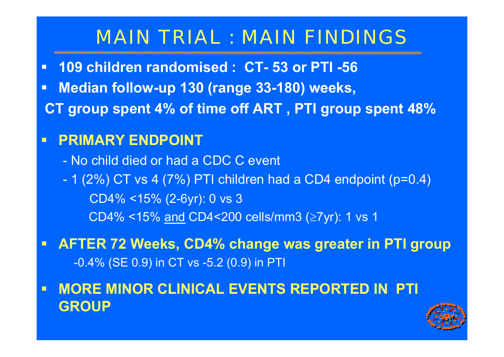# MAIN TRIAL : MAIN FINDINGS

- $\blacksquare$ **109 children randomised : CT- 53 or PTI -56**
- $\blacksquare$ **Median follow-up 130 (range 33-180) weeks,**
- **CT group spent 4% of time off ART , PTI group spent 48%**

#### $\blacksquare$ **PRIMARY ENDPOINT :**

- No child died or had a CDC C event
- 1 (2%) CT vs 4 (7%) PTI children had a CD4 endpoint (p=0.4) CD4% <15% (2-6yr): 0 vs 3 CD4% <15% <u>and</u> CD4<200 cells/mm3 (≥7yr): 1 vs 1
- $\blacksquare$  **AFTER 72 Weeks, CD4% change was greater in PTI group** -0.4% (SE 0.9) in CT vs -5.2 (0.9) in PTI
- $\blacksquare$  **MORE MINOR CLINICAL EVENTS REPORTED IN PTI GROUP**

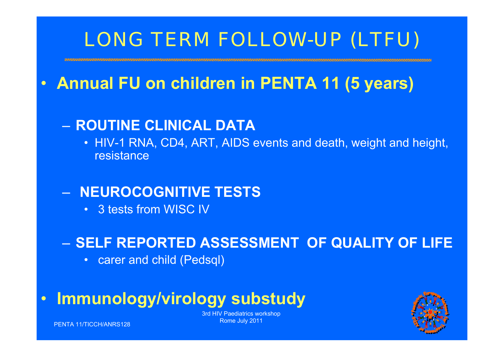# LONG TERM FOLLOW-UP (LTFU)

#### •**Annual FU on children in PENTA 11 (5 years)**

### – **ROUTINE CLINICAL DATA**

• HIV-1 RNA, CD4, ART, AIDS events and death, weight and height, resistance

### – **NEUROCOGNITIVE TESTS**

• 3 tests from WISC IV

### – **SELF REPORTED ASSESSMENT OF QUALITY OF LIFE**

• carer and child (Pedsql)

#### •**Immunology/virology substudy**



3rd HIV Paediatrics workshop Rome July 2011

PENTA 11/TICCH/ANRS128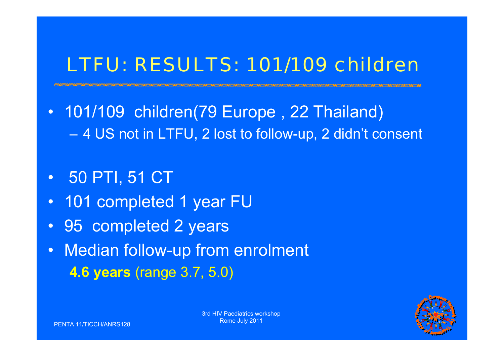# LTFU: RESULTS: 101/109 children

- 101/109 children(79 Europe , 22 Thailand) –4 US not in LTFU, 2 lost to follow-up, 2 didn't consent
- •50 PTI, 51 CT
- •101 completed 1 year FU
- 95 completed 2 years
- • Median follow-up from enrolment **4.6 years** (range 3.7, 5.0)

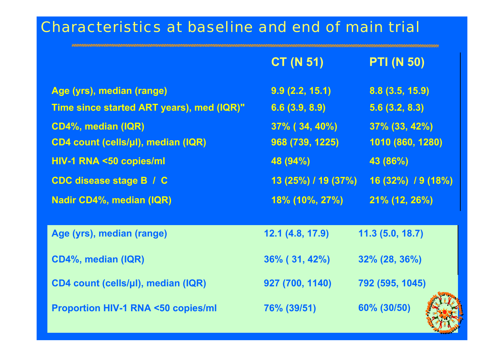### Characteristics at baseline and end of main trial

|                                              | <b>CT (N 51)</b>      | <b>PTI (N 50)</b>    |
|----------------------------------------------|-----------------------|----------------------|
| Age (yrs), median (range)                    | 9.9(2.2, 15.1)        | 8.8(3.5, 15.9)       |
| Time since started ART years), med (IQR)"    | 6.6(3.9, 8.9)         | 5.6(3.2, 8.3)        |
| CD4%, median (IQR)                           | $37\%$ ( $34,40\%$ )  | $37\%$ (33, 42%)     |
| CD4 count (cells/µl), median (IQR)           | 968 (739, 1225)       | 1010 (860, 1280)     |
| HIV-1 RNA <50 copies/ml                      | 48 (94%)              | 43 (86%)             |
| <b>CDC disease stage B / C</b>               | 13 (25%) / 19 (37%)   | $16(32\%)$ / 9 (18%) |
| <b>Nadir CD4%, median (IQR)</b>              | <u>18% (10%, 27%)</u> | 21% (12, 26%)        |
|                                              |                       |                      |
| Age (yrs), median (range)                    | 12.1(4.8, 17.9)       | 11.3(5.0, 18.7)      |
| CD4%, median (IQR)                           | $36\%$ ( 31, 42%)     | $32\%$ (28, 36%)     |
| CD4 count (cells/µl), median (IQR)           | 927 (700, 1140)       | 792 (595, 1045)      |
| <b>Proportion HIV-1 RNA &lt;50 copies/ml</b> | 76% (39/51)           | 60% (30/50)          |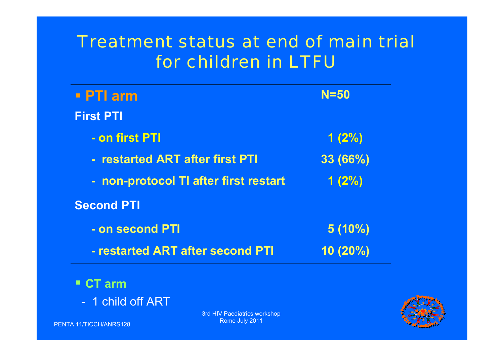## Treatment status at end of main trial for children in LTFU

| $\blacksquare$ PTI arm                | $N = 50$   |
|---------------------------------------|------------|
| <b>First PTI</b>                      |            |
| - on first PTI                        | 1(2%)      |
| - restarted ART after first PTI       | 33 (66%)   |
| - non-protocol TI after first restart | 1(2%)      |
| <b>Second PTI</b>                     |            |
| - on second PTI                       | $5(10\%)$  |
| - restarted ART after second PTI      | $10(20\%)$ |
|                                       |            |

- 1 child off ART

PENTA 11/TICCH/ANRS128

3rd HIV Paediatrics workshop Rome July 2011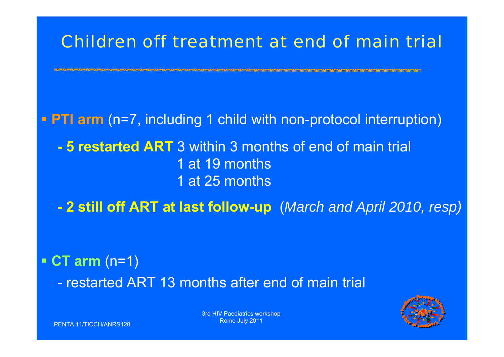## Children off treatment at end of main trial

**PTI arm** (n=7, including 1 child with non-protocol interruption)

**- 5 restarted ART** 3 within 3 months of end of main trial 1 at 19 months 1 at 25 months

**- 2 still off ART at last follow-up** (*March and April 2010, resp)*

 **CT arm** (n=1) - restarted ART 13 months after end of main trial



3rd HIV Paediatrics workshop Rome July 2011

PENTA 11/TICCH/ANRS128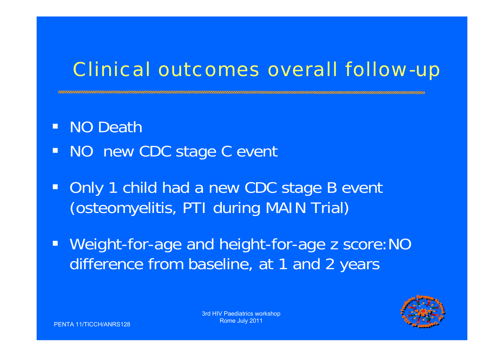# Clinical outcomes overall follow-up

- $\blacksquare$ NO Death
- NO new CDC stage C event
- Only 1 child had a new CDC stage B event (osteomyelitis, PTI during MAIN Trial)
- Weight-for-age and height-for-age z score:NO difference from baseline, at 1 and 2 years

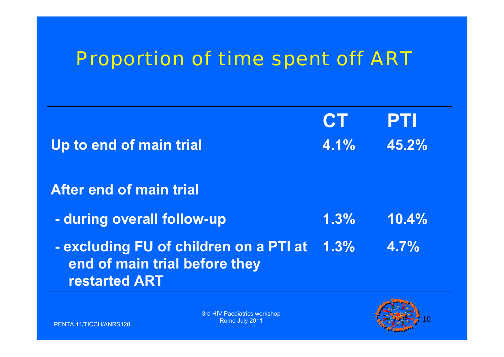# Proportion of time spent off ART

|                                                                                                 | <b>CT</b> | PTI   |
|-------------------------------------------------------------------------------------------------|-----------|-------|
| Up to end of main trial                                                                         | 4.1%      | 45.2% |
|                                                                                                 |           |       |
| <b>After end of main trial</b>                                                                  |           |       |
| - during overall follow-up                                                                      | 1.3%      | 10.4% |
| - excluding FU of children on a PTI at<br>end of main trial before they<br><b>restarted ART</b> | 1.3%      | 4.7%  |

3rd HIV Paediatrics workshop Rome July 2011

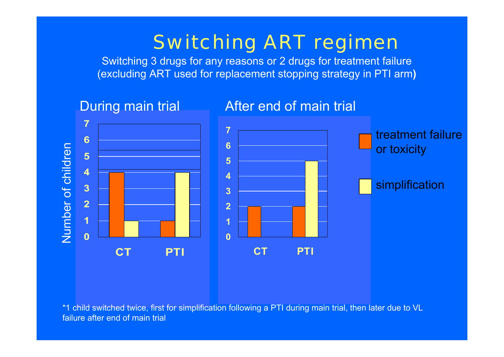# Switching ART regimen

Switching 3 drugs for any reasons or 2 drugs for treatment failure (excluding ART used for replacement stopping strategy in PTI arm**)**



\*1 child switched twice, first for simplification following a PTI during main trial, then later due to VL failure after end of main trial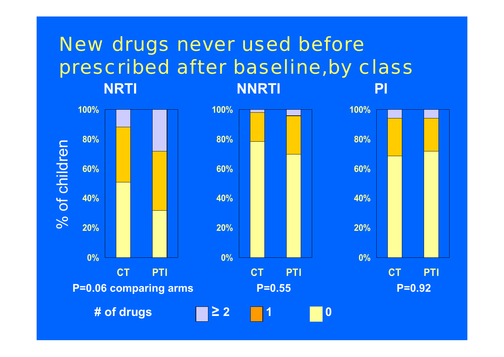#### **NRTI NNRTI PI**New drugs never used before prescribed after baseline,by class



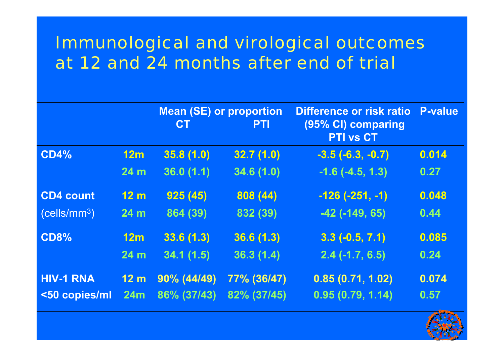## Immunological and virological outcomes at 12 and 24 months after end of trial

|                          |                 | <b>Mean (SE) or proportion</b><br><b>CT</b> | <b>PTI</b>  | Difference or risk ratio<br>(95% CI) comparing<br><b>PTI vs CT</b> | <b>P-value</b> |
|--------------------------|-----------------|---------------------------------------------|-------------|--------------------------------------------------------------------|----------------|
| <b>CD4%</b>              | 12m             | 35.8(1.0)                                   | 32.7(1.0)   | $-3.5(-6.3,-0.7)$                                                  | 0.014          |
|                          | 24 <sub>m</sub> | 36.0(1.1)                                   | 34.6(1.0)   | $-1.6$ $(-4.5, 1.3)$                                               | 0.27           |
| <b>CD4 count</b>         | 12 <sub>m</sub> | 925(45)                                     | 808 (44)    | $-126(-251,-1)$                                                    | 0.048          |
| (cells/mm <sup>3</sup> ) | 24 <sub>m</sub> | 864 (39)                                    | 832 (39)    | $-42$ ( $-149, 65$ )                                               | 0.44           |
| <b>CD8%</b>              | 12m             | 33.6(1.3)                                   | 36.6(1.3)   | $3.3(-0.5, 7.1)$                                                   | 0.085          |
|                          | 24 <sub>m</sub> | 34.1(1.5)                                   | 36.3(1.4)   | $2.4$ (-1.7, 6.5)                                                  | 0.24           |
| <b>HIV-1 RNA</b>         | 12 <sub>m</sub> | $90\% (44/49)$                              | 77% (36/47) | 0.85(0.71, 1.02)                                                   | 0.074          |
| <50 copies/ml            | 24m             | 86% (37/43)                                 | 82% (37/45) | 0.95(0.79, 1.14)                                                   | 0.57           |

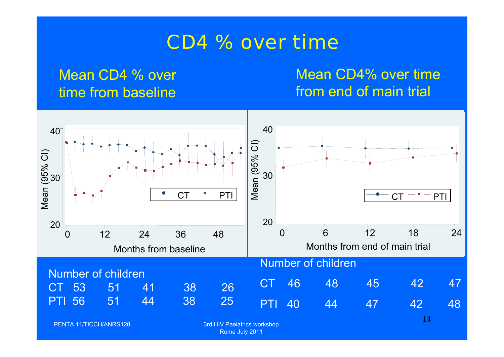## CD4 % over time

### Mean CD4 % over time from baseline

### Mean CD4% over time from end of main trial

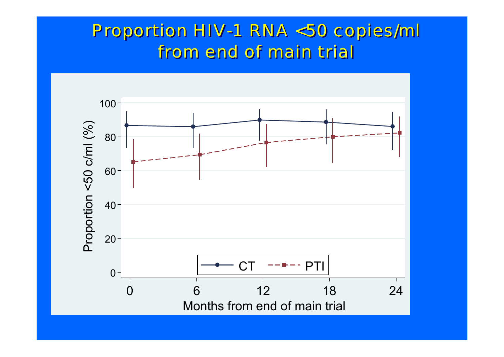## Proportion HIV-1 RNA <50 copies/ml Proportion HIV-1 RNA <50 copies/ml from end of main trial from end of main trial

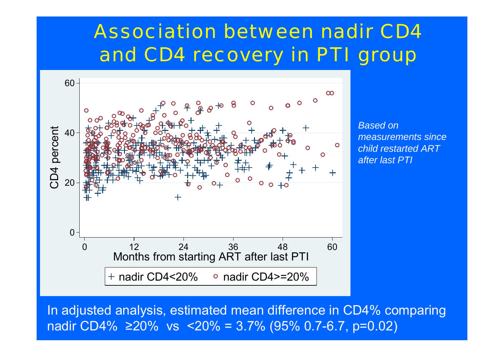# Association between nadir CD4 and CD4 recovery in PTI group



*Based on measurements since child restarted ART after last PTI*

In adjusted analysis, estimated mean difference in CD4% comparing nadir CD4% <sup>≥</sup>20% vs <20% = 3.7% (95% 0.7-6.7, p=0.02)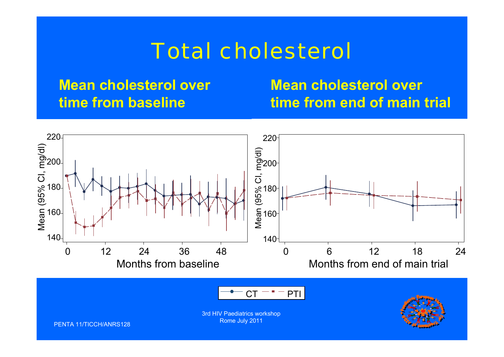# Total cholesterol

### **Mean cholesterol over time from baseline**

**Mean cholesterol over time from end of main trial**

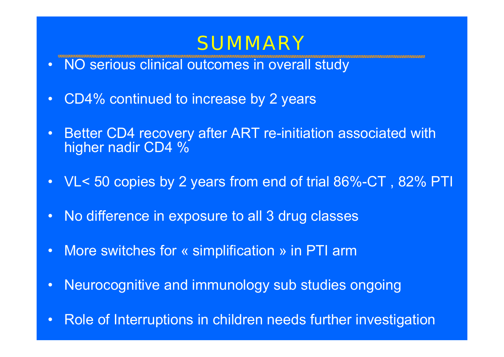# **SUMMARY**

- NO serious clinical outcomes in overall study
- •CD4% continued to increase by 2 years
- • Better CD4 recovery after ART re-initiation associated with higher nadir CD4 %
- VL< 50 copies by 2 years from end of trial 86%-CT , 82% PTI
- $\bullet$ No difference in exposure to all 3 drug classes
- $\bullet$ More switches for « simplification » in PTI arm
- •Neurocognitive and immunology sub studies ongoing
- $\bullet$ Role of Interruptions in children needs further investigation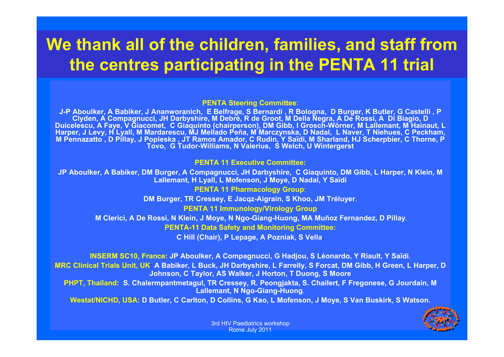## **We thank all of the children, families, and staff from the centres participating in the PENTA 11 trial**

#### **PENTA Steering Committee**:

**J-P Aboulker, A Babiker, J Ananworanich, E Belfrage, S Bernardi , R Bologna, D Burger, K Butler, G Castelli , P Clyden, A Compagnucci, JH Darbyshire, M Debré, R de Groot, M Della Negra, A De Rossi, A Di Biagio, D Duicelescu, A Faye, V Giacomet, C Giaquinto (chairperson), DM Gibb, I Grosch-Wörner, M Lallemant, M Hainaut, L Harper, J Levy, H Lyall, M Mardarescu, MJ Mellado Peña, M Marczynska, D Nadal, L Naver, T Niehues, C Peckham, M Pennazatto , D Pillay, J Popieska , JT Ramos Amador, C Rudin, Y Saïdi, M Sharland, HJ Scherpbier, C Thorne, P Tovo, G Tudor-Williams, N Valerius, S Welch, U Wintergerst**

#### **PENTA 11 Executive Committee:**

**JP Aboulker, A Babiker, DM Burger, A Compagnucci, JH Darbyshire, C Giaquinto, DM Gibb, L Harper, N Klein, M Lallemant, H Lyall, L Mofenson, J Moye, D Nadal, Y Saïdi**

#### **PENTA 11 Pharmacology Group**:

**DM Burger, TR Cressey, E Jacqz-Aigrain, S Khoo, JM Tréluyer**.

#### **PENTA 11 Immunology/Virology Group**

**M Clerici, A De Rossi, N Klein, J Moye, N Ngo-Giang-Huong, MA Muñoz Fernandez, D Pillay**.

**PENTA-11 Data Safety and Monitoring Committee:**

**C Hill (Chair), P Lepage, A Pozniak, S Vella**.

**INSERM SC10, France: JP Aboulker, A Compagnucci, G Hadjou, S Léonardo, Y Riault, Y Saïdi**.

**MRC Clinical Trials Unit, UK**: **A Babiker, L Buck, JH Darbyshire, L Farrelly, S Forcat, DM Gibb, H Green, L Harper, D Johnson, C Taylor, AS Walker, J Horton, T Duong, S Moore**

**PHPT, Thailand: S. Chalermpantmetagul, TR Cressey, R. Peongjakta, S. Chailert, F Fregonese, G Jourdain, M Lallemant, N Ngo-Giang-Huong**.

**Westat/NICHD, USA: D Butler, C Carlton, D Collins, G Kao, L Mofenson, J Moye, S Van Buskirk, S Watson.**